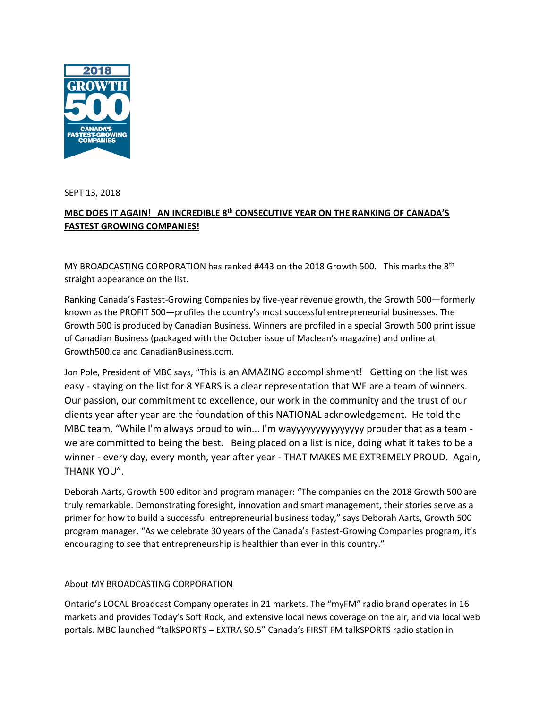

SEPT 13, 2018

## **MBC DOES IT AGAIN! AN INCREDIBLE 8th CONSECUTIVE YEAR ON THE RANKING OF CANADA'S FASTEST GROWING COMPANIES!**

MY BROADCASTING CORPORATION has ranked #443 on the 2018 Growth 500. This marks the 8<sup>th</sup> straight appearance on the list.

Ranking Canada's Fastest-Growing Companies by five-year revenue growth, the Growth 500—formerly known as the PROFIT 500—profiles the country's most successful entrepreneurial businesses. The Growth 500 is produced by Canadian Business. Winners are profiled in a special Growth 500 print issue of Canadian Business (packaged with the October issue of Maclean's magazine) and online at Growth500.ca and CanadianBusiness.com.

Jon Pole, President of MBC says, "This is an AMAZING accomplishment! Getting on the list was easy - staying on the list for 8 YEARS is a clear representation that WE are a team of winners. Our passion, our commitment to excellence, our work in the community and the trust of our clients year after year are the foundation of this NATIONAL acknowledgement. He told the MBC team, "While I'm always proud to win... I'm wayyyyyyyyyyyyyyy prouder that as a team we are committed to being the best. Being placed on a list is nice, doing what it takes to be a winner - every day, every month, year after year - THAT MAKES ME EXTREMELY PROUD. Again, THANK YOU".

Deborah Aarts, Growth 500 editor and program manager: "The companies on the 2018 Growth 500 are truly remarkable. Demonstrating foresight, innovation and smart management, their stories serve as a primer for how to build a successful entrepreneurial business today," says Deborah Aarts, Growth 500 program manager. "As we celebrate 30 years of the Canada's Fastest-Growing Companies program, it's encouraging to see that entrepreneurship is healthier than ever in this country."

## About MY BROADCASTING CORPORATION

Ontario's LOCAL Broadcast Company operates in 21 markets. The "myFM" radio brand operates in 16 markets and provides Today's Soft Rock, and extensive local news coverage on the air, and via local web portals. MBC launched "talkSPORTS – EXTRA 90.5" Canada's FIRST FM talkSPORTS radio station in